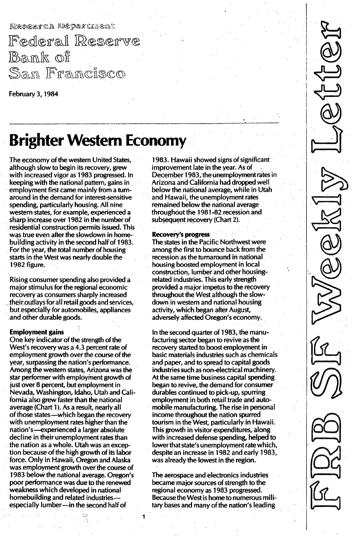Research Department

Federal Reserve Bank of <u>San Francisco</u>

**February 3, 1984** 

# Brighter Western Economy

The economy of the western United States, although slow to begin its recovery, grew with increased vigor as 1983 progressed. In keeping with the national pattern, gains in employment first came mainly from a turnaround in the demand for interest-sensitive spending, particularly housing. All nine western states, for example, experienced a sharp increase over 1982 in the number of residential construction permits issued. This was true even after the slowdown in homebuilding activity in the second half of 1983. For the year, the total number of housing starts in the West was nearly double the 1982 figure.

Rising COnsumer spending also provided a major stimulus for the regional economic recovery as consumers sharply increased theiroutlays for all retail goods and services, but especially for automobiles, appliances and other durable goods.

### Employment gains

One key indicator of the strength of the West's recovery was a 4.3 percent rate of employment growth over the course of the year, surpassing the nation's performance. Among the western states, Arizona was the star performer with employment growth of just over 8 percent, but employment in Nevada, Washington, Idaho, Utah and California also grew faster than the national average (Chart 1). As a result, nearly all of those states-which began the recovery with unemployment rates higher than the nation/s-experienced a larger absolute decline in their unemployment rates than the nation as a whole. Utah was an exception because of the high growth of its labor force. Only in Hawaii, Oregon and Alaska was employment growth over the course of 1983 below the national average. Oregon's poor performance was due to the renewed weakness which developed in national homebuilding and related industriesespecially lumber-in the second half of

1983. Hawaii showed signs of significant improvement late in the year. As of December 1983, the unemployment rates in Arizona and California had dropped well below the national average, while in Utah and Hawaii, the unemployment rates remained below the national average throughout the 1981-82 recession and subsequent recovery (Chart 2).

### Recovery's progress

The states in the Pacific Northwest were among the first to bounce back from the recession as the turnaround in national housing boosted employment in local construction, lumber and other housingrelated industries. This early strength provided a major impetus to the recovery throughout the West although the slowdown in western and national housing activity, which began after August, adversely affected Oregon's economy.

In the second quarter of 1983, the manufacturing sector began to revive as the recovery started to boost employment in basic materials industries such as chemicals and paper, and to spread to capital goods industries such as non-electrical machinery. At the same time business capital spending began to revive, the demand for consumer durables continued to pick-up, spurring employment in both retail trade and automobile manufacturing. The rise in personal income throughout the nation spurred tourism in the West, particularly in Hawaii. This growth in visitor expenditures, along with increased defense spending, helped to lower that state's unemployment rate which, despite an increase in 1982 and early 1983, was already the lowest in the region.

The aerospace and electronics industries became major sources of strength to the regional economy as 1983 progressed. Because the West is home to numerous military bases and many of the nation's leading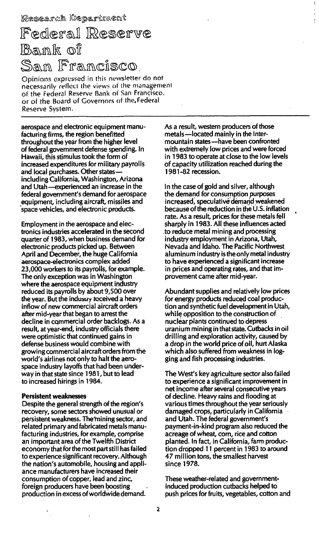## Federal Reserve  $B$ an $\mathbb k$  of San Francisco

Opinions expressed in this newsletter do not necessarily reflect the views of the management of the Federal Reserve Bank of San Francisco, or of the Board of Governors of the Federal Reserve System.

aerospace and electronic equipment manufacturing firms, the region benefitted throughout the year from the higher level of federal government defense spending. In Hawaii, this stimulus took the form of increased expenditures for military payrolls and local purchases, Other statesincluding California, Washington, Arizona and Utah-experienced an increase in the federal government's demand for aerospace equipment, including aircraft, missiles and 'space vehicles, and electronic products.

Employment in the aerospace and electronics industries accelerated in the second quarter of 1983, when business demand for electronic products picked up. Between April and December, the huge California aerospace-electronics complex added 23,000 workers to its payrolls, for example. The only exception was in Washington where the aerospace equipment industry reduced its payrolls by about 9,500 over the year. But the industry received a heavy inflow of new commercial aircraft orders after mid-year that began to arrest the decline in commercial order backlogs. As a result, at year-end, industry officials there were optimistic that continued gains in defense business would combine with growing commercial aircraft orders from the world's airlines not only to halt the aerospace industry layoffs that had been underway in that state since 1981, but to lead to increased hirings in 1984.

#### Persistent weaknesses

Despite the general strength of the region's recovery, some sectors showed unusual or persistent weakness. The'mining sector, and related primary and fabricated metals manufacturing industries, for example, comprise an important area of the Twelfth District economy that for the most part still has failed to experience significant recovery. Although the nation's automobile, housing and appliance manufacturers have increased their consumption of copper, lead and zinc, foreign producers have been boosting production in excess of worldwide demand.

As a result, western producers of those metals-located mainly in the Intermountain states-have been confronted with extremely low prices and were forced in 1 983 to operate at close to the low levels of capacity utilization reached during the 1 981 -82 recession.

In the case of gold and silver, although the demand for consumption purposes increased, speculative demand weakened because of the reduction in the U.S. inflation rate. As a result, prices for these metals fell sharply in 1983. All these influences acted .to reduce metal mining and processing industry employment in Arizona, Utah, Nevada and Idaho. The Pacific Northwest aluminum industry is the only metal industry to have experienced a significant increase in prices and operating rates, and that improvement came after mid-year.

Abundant supplies and relatively low prices for energy products reduced coal production and synthetic fuel development in Utah, while opposition to the construction of nuclear plants continued to depress uranium mining in that state. Cutbacks in oil drilling and exploration activity, caused by a drop in the world price of oil, hurt Alaska which also suffered from weakness in logging and fish processing industries.

The West's key agriculture sector also failed to experience a significant improvement in net income after several consecutive years of decline. Heavy rains and flooding at various times throughout the year seriously damaged crops, particularly in California and Utah. The federal government's payment-in-kind program also reduced the acreage of wheat, corn, rice and cotton planted. In fact, in California, farm production dropped 11 percent in 1983 to around 47 million tons, the smallest harvest since 1978.

These weather-related and governmentinduced production cutbacks helped to push prices for fruits, vegetables, cotton and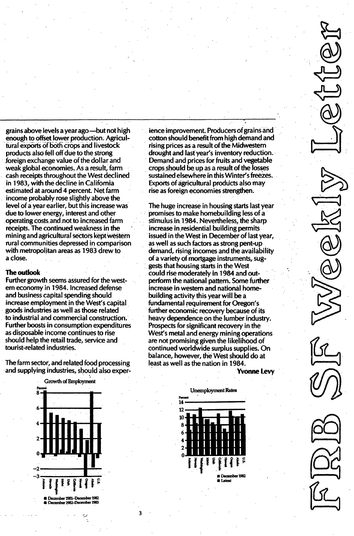grains above levels a year ago—but not high enough to offset lower production. Agricultural exports of both crops and livestock products also fell off due to the strong foreign exchange value of the dollar and weak global economies. As a result, farm cash receipts throughout the West declined in 1983, with the decline in California estimated at around 4 percent. Net farm income probably rose slightly above the level of a year earlier, but this increase was due to lower energy, interest and other operating costs and not to increased farm receipts. The continued weakness in the mining and agricultural sectors kept western rural communities depressed in comparison with metropolitan areas as 1983 drew to a close.

### The outlook

Further growth seems assured for the western economy in 1984. Increased defense and business capital spending should increase employment in the West's capital goods industries as well as those related to industrial and commercial construction. Further boosts in consumption expenditures as disposable income continues to rise should help the retail trade, service and tourist-related industries.

The farm sector, and related food processing and supplying industries, should also exper-



3

ience improvement. Producers of grains and cotton should benefit from high demand and rising prices as a result of the Midwestern drought and last year's inventory reduction. Demand and prices for fruits and vegetable crops should be up as a result of the losses sustained elsewhere in this Winter's freezes. Exports of agricultural products also may rise as foreign economies strengthen.

The huge increase in housing starts last year promises to make homebuilding less of a stimulus in 1984. Nevertheless, the sharp increase in residential building permits issued in the West in December of last year. as well as such factors as strong pent-up demand, rising incomes and the availability of a variety of mortgage instruments, suggests that housing starts in the West could rise moderately in 1984 and outperform the national pattern. Some further increase in western and national homebuilding activity this year will be a fundamental requirement for Oregon's further economic recovery because of its heavy dependence on the lumber industry. Prospects for significant recovery in the West's metal and energy mining operations are not promising given the likelihood of continued worldwide surplus supplies. On balance, however, the West should do at least as well as the nation in 1984.

**Yvonne Levv**